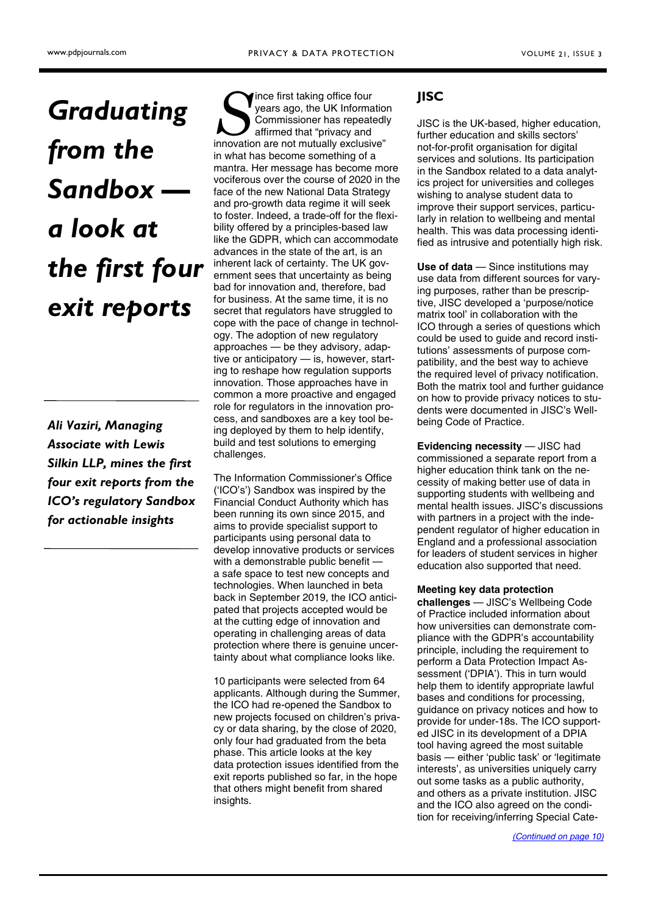# <span id="page-0-0"></span>**Graduating** from the Sandbox a look at the first four exit reports

Ali Vaziri, Managing Associate with Lewis Silkin LLP, mines the first four exit reports from the ICO's regulatory Sandbox for actionable insights

Since first taking office four<br>
years ago, the UK Information<br>
Commissioner has repeatedly<br>
affirmed that "privacy and<br>
innovation are not mutually exclusive" ince first taking office four years ago, the UK Information Commissioner has repeatedly affirmed that "privacy and in what has become something of a mantra. Her message has become more vociferous over the course of 2020 in the face of the new National Data Strategy and pro-growth data regime it will seek to foster. Indeed, a trade-off for the flexibility offered by a principles-based law like the GDPR, which can accommodate advances in the state of the art, is an inherent lack of certainty. The UK government sees that uncertainty as being bad for innovation and, therefore, bad for business. At the same time, it is no secret that regulators have struggled to cope with the pace of change in technology. The adoption of new regulatory approaches — be they advisory, adaptive or anticipatory — is, however, starting to reshape how regulation supports innovation. Those approaches have in common a more proactive and engaged role for regulators in the innovation process, and sandboxes are a key tool being deployed by them to help identify, build and test solutions to emerging challenges.

The Information Commissioner's Office ('ICO's') Sandbox was inspired by the Financial Conduct Authority which has been running its own since 2015, and aims to provide specialist support to participants using personal data to develop innovative products or services with a demonstrable public benefit a safe space to test new concepts and technologies. When launched in beta back in September 2019, the ICO anticipated that projects accepted would be at the cutting edge of innovation and operating in challenging areas of data protection where there is genuine uncertainty about what compliance looks like.

10 participants were selected from 64 applicants. Although during the Summer, the ICO had re-opened the Sandbox to new projects focused on children's privacy or data sharing, by the close of 2020, only four had graduated from the beta phase. This article looks at the key data protection issues identified from the exit reports published so far, in the hope that others might benefit from shared insights.

# JISC

JISC is the UK-based, higher education, further education and skills sectors' not-for-profit organisation for digital services and solutions. Its participation in the Sandbox related to a data analytics project for universities and colleges wishing to analyse student data to improve their support services, particularly in relation to wellbeing and mental health. This was data processing identified as intrusive and potentially high risk.

Use of data - Since institutions may use data from different sources for varying purposes, rather than be prescriptive, JISC developed a 'purpose/notice matrix tool' in collaboration with the ICO through a series of questions which could be used to guide and record institutions' assessments of purpose compatibility, and the best way to achieve the required level of privacy notification. Both the matrix tool and further guidance on how to provide privacy notices to students were documented in JISC's Wellbeing Code of Practice.

Evidencing necessity — JISC had commissioned a separate report from a higher education think tank on the necessity of making better use of data in supporting students with wellbeing and mental health issues. JISC's discussions with partners in a project with the independent regulator of higher education in England and a professional association for leaders of student services in higher education also supported that need.

### Meeting key data protection

challenges — JISC's Wellbeing Code of Practice included information about how universities can demonstrate compliance with the GDPR's accountability principle, including the requirement to perform a Data Protection Impact Assessment ('DPIA'). This in turn would help them to identify appropriate lawful bases and conditions for processing, guidance on privacy notices and how to provide for under-18s. The ICO supported JISC in its development of a DPIA tool having agreed the most suitable basis — either 'public task' or 'legitimate interests', as universities uniquely carry out some tasks as a public authority, and others as a private institution. JISC and the ICO also agreed on the condition for receiving/inferring Special Cate-

[\(Continued on page 10\)](#page-1-0)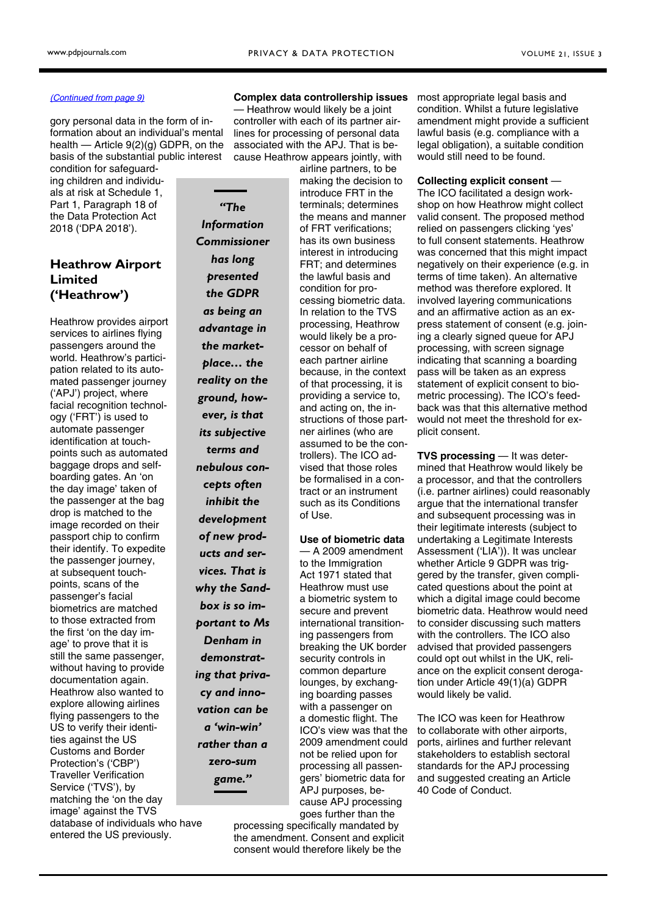— Heathrow would likely be a joint controller with each of its partner airlines for processing of personal data associated with the APJ. That is because Heathrow appears jointly, with

> airline partners, to be making the decision to introduce FRT in the terminals; determines the means and manner of FRT verifications; has its own business interest in introducing FRT; and determines the lawful basis and condition for processing biometric data. In relation to the TVS processing, Heathrow would likely be a processor on behalf of each partner airline because, in the context of that processing, it is providing a service to, and acting on, the instructions of those partner airlines (who are assumed to be the controllers). The ICO advised that those roles be formalised in a contract or an instrument such as its Conditions

#### <span id="page-1-0"></span>[\(Continued from page 9\)](#page-0-0)

gory personal data in the form of information about an individual's mental health — Article 9(2)(g) GDPR, on the basis of the substantial public interest

condition for safeguarding children and individuals at risk at Schedule 1, Part 1, Paragraph 18 of the Data Protection Act 2018 ('DPA 2018').

# Heathrow Airport Limited ('Heathrow')

Heathrow provides airport services to airlines flying passengers around the world. Heathrow's participation related to its automated passenger journey ('APJ') project, where facial recognition technology ('FRT') is used to automate passenger identification at touchpoints such as automated baggage drops and selfboarding gates. An 'on the day image' taken of the passenger at the bag drop is matched to the image recorded on their passport chip to confirm their identify. To expedite the passenger journey, at subsequent touchpoints, scans of the passenger's facial biometrics are matched to those extracted from the first 'on the day image' to prove that it is still the same passenger, without having to provide documentation again. Heathrow also wanted to explore allowing airlines flying passengers to the US to verify their identities against the US Customs and Border Protection's ('CBP') Traveller Verification Service ('TVS'), by matching the 'on the day image' against the TVS database of individuals who have entered the US previously.

"The Information Commissioner has long presented the GDPR as being an advantage in the marketplace… the reality on the ground, however, is that its subjective terms and nebulous concepts often inhibit the development of new products and services. That is why the Sandbox is so important to Ms Denham in demonstrating that privacy and innovation can be a 'win-win' rather than a zero-sum game."

processing specifically mandated by the amendment. Consent and explicit consent would therefore likely be the

of Use.

Use of biometric data — A 2009 amendment to the Immigration Act 1971 stated that Heathrow must use a biometric system to secure and prevent international transitioning passengers from breaking the UK border security controls in common departure lounges, by exchanging boarding passes with a passenger on a domestic flight. The ICO's view was that the 2009 amendment could not be relied upon for processing all passengers' biometric data for APJ purposes, because APJ processing goes further than the

Complex data controllership issues most appropriate legal basis and condition. Whilst a future legislative amendment might provide a sufficient lawful basis (e.g. compliance with a legal obligation), a suitable condition would still need to be found.

#### Collecting explicit consent —

The ICO facilitated a design workshop on how Heathrow might collect valid consent. The proposed method relied on passengers clicking 'yes' to full consent statements. Heathrow was concerned that this might impact negatively on their experience (e.g. in terms of time taken). An alternative method was therefore explored. It involved layering communications and an affirmative action as an express statement of consent (e.g. joining a clearly signed queue for APJ processing, with screen signage indicating that scanning a boarding pass will be taken as an express statement of explicit consent to biometric processing). The ICO's feedback was that this alternative method would not meet the threshold for explicit consent.

TVS processing — It was determined that Heathrow would likely be a processor, and that the controllers (i.e. partner airlines) could reasonably argue that the international transfer and subsequent processing was in their legitimate interests (subject to undertaking a Legitimate Interests Assessment ('LIA')). It was unclear whether Article 9 GDPR was triggered by the transfer, given complicated questions about the point at which a digital image could become biometric data. Heathrow would need to consider discussing such matters with the controllers. The ICO also advised that provided passengers could opt out whilst in the UK, reliance on the explicit consent derogation under Article 49(1)(a) GDPR would likely be valid.

The ICO was keen for Heathrow to collaborate with other airports, ports, airlines and further relevant stakeholders to establish sectoral standards for the APJ processing and suggested creating an Article 40 Code of Conduct.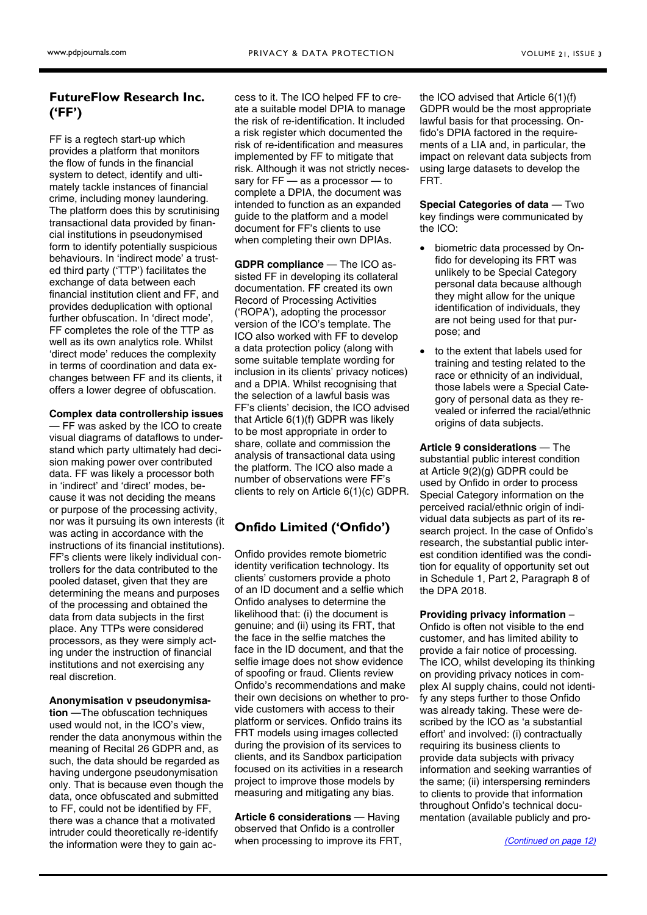# <span id="page-2-0"></span>FutureFlow Research Inc. ('FF')

FF is a regtech start-up which provides a platform that monitors the flow of funds in the financial system to detect, identify and ultimately tackle instances of financial crime, including money laundering. The platform does this by scrutinising transactional data provided by financial institutions in pseudonymised form to identify potentially suspicious behaviours. In 'indirect mode' a trusted third party ('TTP') facilitates the exchange of data between each financial institution client and FF, and provides deduplication with optional further obfuscation. In 'direct mode', FF completes the role of the TTP as well as its own analytics role. Whilst 'direct mode' reduces the complexity in terms of coordination and data exchanges between FF and its clients, it offers a lower degree of obfuscation.

#### Complex data controllership issues

— FF was asked by the ICO to create visual diagrams of dataflows to understand which party ultimately had decision making power over contributed data. FF was likely a processor both in 'indirect' and 'direct' modes, because it was not deciding the means or purpose of the processing activity, nor was it pursuing its own interests (it was acting in accordance with the instructions of its financial institutions). FF's clients were likely individual controllers for the data contributed to the pooled dataset, given that they are determining the means and purposes of the processing and obtained the data from data subjects in the first place. Any TTPs were considered processors, as they were simply acting under the instruction of financial institutions and not exercising any real discretion.

#### Anonymisation v pseudonymisa-

tion —The obfuscation techniques used would not, in the ICO's view, render the data anonymous within the meaning of Recital 26 GDPR and, as such, the data should be regarded as having undergone pseudonymisation only. That is because even though the data, once obfuscated and submitted to FF, could not be identified by FF, there was a chance that a motivated intruder could theoretically re-identify the information were they to gain ac-

cess to it. The ICO helped FF to create a suitable model DPIA to manage the risk of re-identification. It included a risk register which documented the risk of re-identification and measures implemented by FF to mitigate that risk. Although it was not strictly necessary for FF — as a processor — to complete a DPIA, the document was intended to function as an expanded guide to the platform and a model document for FF's clients to use when completing their own DPIAs.

GDPR compliance — The ICO assisted FF in developing its collateral documentation. FF created its own Record of Processing Activities ('ROPA'), adopting the processor version of the ICO's template. The ICO also worked with FF to develop a data protection policy (along with some suitable template wording for inclusion in its clients' privacy notices) and a DPIA. Whilst recognising that the selection of a lawful basis was FF's clients' decision, the ICO advised that Article 6(1)(f) GDPR was likely to be most appropriate in order to share, collate and commission the analysis of transactional data using the platform. The ICO also made a number of observations were FF's clients to rely on Article 6(1)(c) GDPR.

# Onfido Limited ('Onfido')

Onfido provides remote biometric identity verification technology. Its clients' customers provide a photo of an ID document and a selfie which Onfido analyses to determine the likelihood that: (i) the document is genuine; and (ii) using its FRT, that the face in the selfie matches the face in the ID document, and that the selfie image does not show evidence of spoofing or fraud. Clients review Onfido's recommendations and make their own decisions on whether to provide customers with access to their platform or services. Onfido trains its FRT models using images collected during the provision of its services to clients, and its Sandbox participation focused on its activities in a research project to improve those models by measuring and mitigating any bias.

Article 6 considerations — Having observed that Onfido is a controller when processing to improve its FRT, the ICO advised that Article 6(1)(f) GDPR would be the most appropriate lawful basis for that processing. Onfido's DPIA factored in the requirements of a LIA and, in particular, the impact on relevant data subjects from using large datasets to develop the FRT.

Special Categories of data — Two key findings were communicated by the ICO:

- biometric data processed by Onfido for developing its FRT was unlikely to be Special Category personal data because although they might allow for the unique identification of individuals, they are not being used for that purpose; and
- to the extent that labels used for training and testing related to the race or ethnicity of an individual, those labels were a Special Category of personal data as they revealed or inferred the racial/ethnic origins of data subjects.

Article 9 considerations — The substantial public interest condition at Article 9(2)(g) GDPR could be used by Onfido in order to process Special Category information on the perceived racial/ethnic origin of individual data subjects as part of its research project. In the case of Onfido's research, the substantial public interest condition identified was the condition for equality of opportunity set out in Schedule 1, Part 2, Paragraph 8 of the DPA 2018.

#### Providing privacy information –

Onfido is often not visible to the end customer, and has limited ability to provide a fair notice of processing. The ICO, whilst developing its thinking on providing privacy notices in complex AI supply chains, could not identify any steps further to those Onfido was already taking. These were described by the ICO as 'a substantial effort' and involved: (i) contractually requiring its business clients to provide data subjects with privacy information and seeking warranties of the same; (ii) interspersing reminders to clients to provide that information throughout Onfido's technical documentation (available publicly and pro-

[\(Continued on page 12\)](#page-3-0)